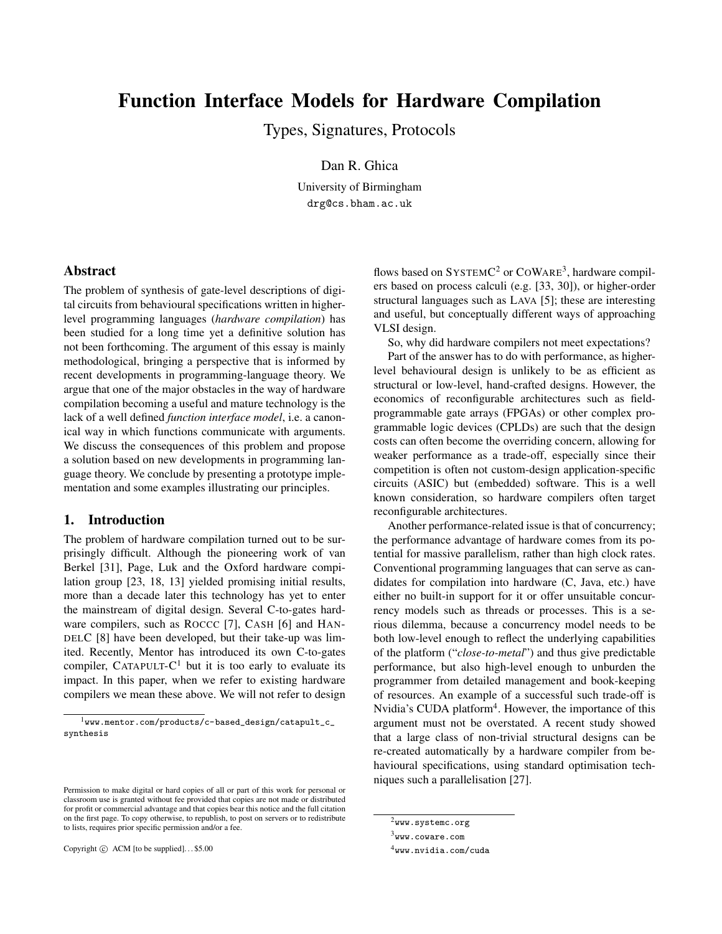# Function Interface Models for Hardware Compilation

Types, Signatures, Protocols

Dan R. Ghica

University of Birmingham drg@cs.bham.ac.uk

## Abstract

The problem of synthesis of gate-level descriptions of digital circuits from behavioural specifications written in higherlevel programming languages (*hardware compilation*) has been studied for a long time yet a definitive solution has not been forthcoming. The argument of this essay is mainly methodological, bringing a perspective that is informed by recent developments in programming-language theory. We argue that one of the major obstacles in the way of hardware compilation becoming a useful and mature technology is the lack of a well defined *function interface model*, i.e. a canonical way in which functions communicate with arguments. We discuss the consequences of this problem and propose a solution based on new developments in programming language theory. We conclude by presenting a prototype implementation and some examples illustrating our principles.

## 1. Introduction

The problem of hardware compilation turned out to be surprisingly difficult. Although the pioneering work of van Berkel [31], Page, Luk and the Oxford hardware compilation group [23, 18, 13] yielded promising initial results, more than a decade later this technology has yet to enter the mainstream of digital design. Several C-to-gates hardware compilers, such as ROCCC [7], CASH [6] and HAN-DELC [8] have been developed, but their take-up was limited. Recently, Mentor has introduced its own C-to-gates compiler, CATAPULT- $C<sup>1</sup>$  but it is too early to evaluate its impact. In this paper, when we refer to existing hardware compilers we mean these above. We will not refer to design

Copyright  $\odot$  ACM [to be supplied]...\$5.00

flows based on  $\text{SystemC}^2$  or  $\text{COMARE}^3$ , hardware compilers based on process calculi (e.g. [33, 30]), or higher-order structural languages such as LAVA [5]; these are interesting and useful, but conceptually different ways of approaching VLSI design.

So, why did hardware compilers not meet expectations?

Part of the answer has to do with performance, as higherlevel behavioural design is unlikely to be as efficient as structural or low-level, hand-crafted designs. However, the economics of reconfigurable architectures such as fieldprogrammable gate arrays (FPGAs) or other complex programmable logic devices (CPLDs) are such that the design costs can often become the overriding concern, allowing for weaker performance as a trade-off, especially since their competition is often not custom-design application-specific circuits (ASIC) but (embedded) software. This is a well known consideration, so hardware compilers often target reconfigurable architectures.

Another performance-related issue is that of concurrency; the performance advantage of hardware comes from its potential for massive parallelism, rather than high clock rates. Conventional programming languages that can serve as candidates for compilation into hardware (C, Java, etc.) have either no built-in support for it or offer unsuitable concurrency models such as threads or processes. This is a serious dilemma, because a concurrency model needs to be both low-level enough to reflect the underlying capabilities of the platform ("*close-to-metal*") and thus give predictable performance, but also high-level enough to unburden the programmer from detailed management and book-keeping of resources. An example of a successful such trade-off is Nvidia's CUDA platform<sup>4</sup>. However, the importance of this argument must not be overstated. A recent study showed that a large class of non-trivial structural designs can be re-created automatically by a hardware compiler from behavioural specifications, using standard optimisation techniques such a parallelisation [27].

 $1$ www.mentor.com/products/c-based\_design/catapult\_c\_ synthesis

Permission to make digital or hard copies of all or part of this work for personal or classroom use is granted without fee provided that copies are not made or distributed for profit or commercial advantage and that copies bear this notice and the full citation on the first page. To copy otherwise, to republish, to post on servers or to redistribute to lists, requires prior specific permission and/or a fee.

<sup>2</sup>www.systemc.org

<sup>3</sup>www.coware.com

<sup>4</sup>www.nvidia.com/cuda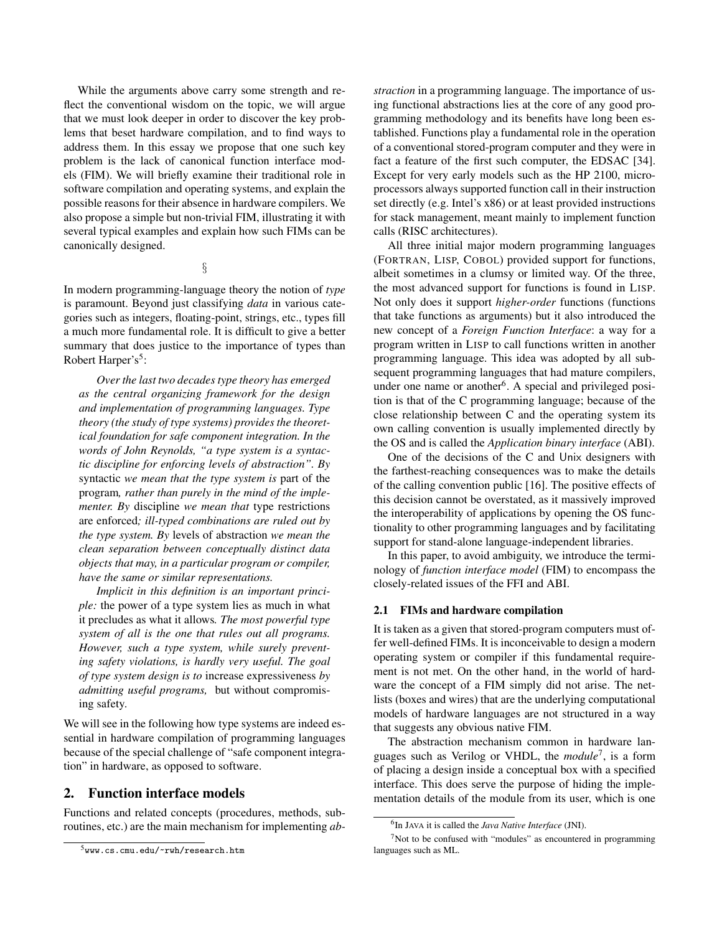While the arguments above carry some strength and reflect the conventional wisdom on the topic, we will argue that we must look deeper in order to discover the key problems that beset hardware compilation, and to find ways to address them. In this essay we propose that one such key problem is the lack of canonical function interface models (FIM). We will briefly examine their traditional role in software compilation and operating systems, and explain the possible reasons for their absence in hardware compilers. We also propose a simple but non-trivial FIM, illustrating it with several typical examples and explain how such FIMs can be canonically designed.

§

In modern programming-language theory the notion of *type* is paramount. Beyond just classifying *data* in various categories such as integers, floating-point, strings, etc., types fill a much more fundamental role. It is difficult to give a better summary that does justice to the importance of types than Robert Harper's<sup>5</sup>:

*Over the last two decades type theory has emerged as the central organizing framework for the design and implementation of programming languages. Type theory (the study of type systems) provides the theoretical foundation for safe component integration. In the words of John Reynolds, "a type system is a syntactic discipline for enforcing levels of abstraction". By* syntactic *we mean that the type system is* part of the program*, rather than purely in the mind of the implementer. By* discipline *we mean that* type restrictions are enforced*; ill-typed combinations are ruled out by the type system. By* levels of abstraction *we mean the clean separation between conceptually distinct data objects that may, in a particular program or compiler, have the same or similar representations.*

*Implicit in this definition is an important principle:* the power of a type system lies as much in what it precludes as what it allows*. The most powerful type system of all is the one that rules out all programs. However, such a type system, while surely preventing safety violations, is hardly very useful. The goal of type system design is to* increase expressiveness *by admitting useful programs,* but without compromising safety*.*

We will see in the following how type systems are indeed essential in hardware compilation of programming languages because of the special challenge of "safe component integration" in hardware, as opposed to software.

## 2. Function interface models

Functions and related concepts (procedures, methods, subroutines, etc.) are the main mechanism for implementing *ab-* *straction* in a programming language. The importance of using functional abstractions lies at the core of any good programming methodology and its benefits have long been established. Functions play a fundamental role in the operation of a conventional stored-program computer and they were in fact a feature of the first such computer, the EDSAC [34]. Except for very early models such as the HP 2100, microprocessors always supported function call in their instruction set directly (e.g. Intel's x86) or at least provided instructions for stack management, meant mainly to implement function calls (RISC architectures).

All three initial major modern programming languages (FORTRAN, LISP, COBOL) provided support for functions, albeit sometimes in a clumsy or limited way. Of the three, the most advanced support for functions is found in LISP. Not only does it support *higher-order* functions (functions that take functions as arguments) but it also introduced the new concept of a *Foreign Function Interface*: a way for a program written in LISP to call functions written in another programming language. This idea was adopted by all subsequent programming languages that had mature compilers, under one name or another<sup>6</sup>. A special and privileged position is that of the C programming language; because of the close relationship between C and the operating system its own calling convention is usually implemented directly by the OS and is called the *Application binary interface* (ABI).

One of the decisions of the C and Unix designers with the farthest-reaching consequences was to make the details of the calling convention public [16]. The positive effects of this decision cannot be overstated, as it massively improved the interoperability of applications by opening the OS functionality to other programming languages and by facilitating support for stand-alone language-independent libraries.

In this paper, to avoid ambiguity, we introduce the terminology of *function interface model* (FIM) to encompass the closely-related issues of the FFI and ABI.

#### 2.1 FIMs and hardware compilation

It is taken as a given that stored-program computers must offer well-defined FIMs. It is inconceivable to design a modern operating system or compiler if this fundamental requirement is not met. On the other hand, in the world of hardware the concept of a FIM simply did not arise. The netlists (boxes and wires) that are the underlying computational models of hardware languages are not structured in a way that suggests any obvious native FIM.

The abstraction mechanism common in hardware languages such as Verilog or VHDL, the *module*<sup>7</sup> , is a form of placing a design inside a conceptual box with a specified interface. This does serve the purpose of hiding the implementation details of the module from its user, which is one

 $5$ www.cs.cmu.edu/~rwh/research.htm

<sup>6</sup> In JAVA it is called the *Java Native Interface* (JNI).

<sup>7</sup>Not to be confused with "modules" as encountered in programming languages such as ML.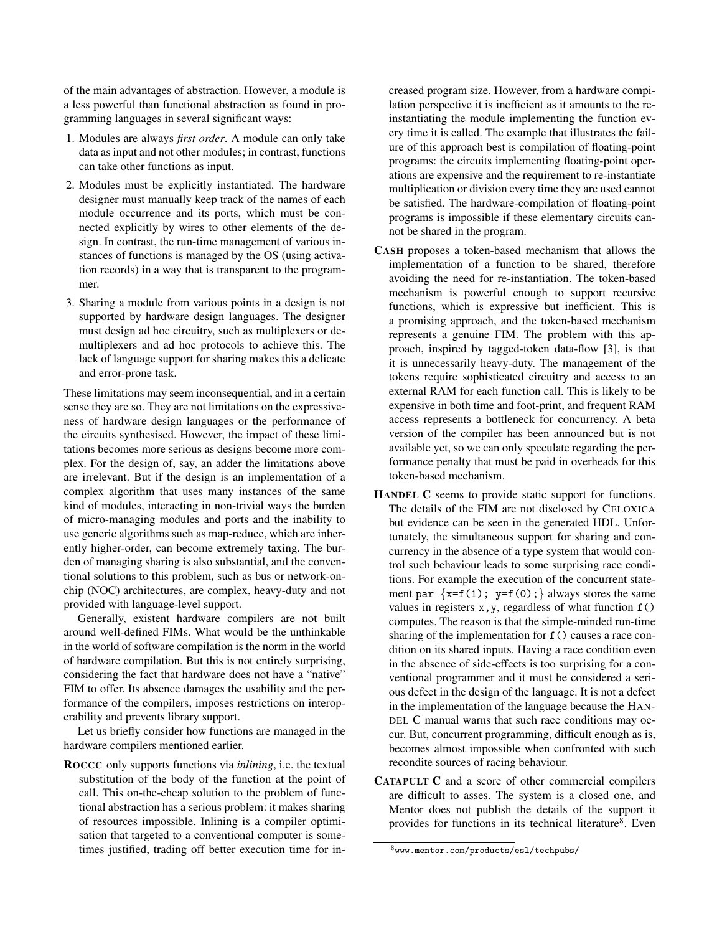of the main advantages of abstraction. However, a module is a less powerful than functional abstraction as found in programming languages in several significant ways:

- 1. Modules are always *first order*. A module can only take data as input and not other modules; in contrast, functions can take other functions as input.
- 2. Modules must be explicitly instantiated. The hardware designer must manually keep track of the names of each module occurrence and its ports, which must be connected explicitly by wires to other elements of the design. In contrast, the run-time management of various instances of functions is managed by the OS (using activation records) in a way that is transparent to the programmer.
- 3. Sharing a module from various points in a design is not supported by hardware design languages. The designer must design ad hoc circuitry, such as multiplexers or demultiplexers and ad hoc protocols to achieve this. The lack of language support for sharing makes this a delicate and error-prone task.

These limitations may seem inconsequential, and in a certain sense they are so. They are not limitations on the expressiveness of hardware design languages or the performance of the circuits synthesised. However, the impact of these limitations becomes more serious as designs become more complex. For the design of, say, an adder the limitations above are irrelevant. But if the design is an implementation of a complex algorithm that uses many instances of the same kind of modules, interacting in non-trivial ways the burden of micro-managing modules and ports and the inability to use generic algorithms such as map-reduce, which are inherently higher-order, can become extremely taxing. The burden of managing sharing is also substantial, and the conventional solutions to this problem, such as bus or network-onchip (NOC) architectures, are complex, heavy-duty and not provided with language-level support.

Generally, existent hardware compilers are not built around well-defined FIMs. What would be the unthinkable in the world of software compilation is the norm in the world of hardware compilation. But this is not entirely surprising, considering the fact that hardware does not have a "native" FIM to offer. Its absence damages the usability and the performance of the compilers, imposes restrictions on interoperability and prevents library support.

Let us briefly consider how functions are managed in the hardware compilers mentioned earlier.

ROCCC only supports functions via *inlining*, i.e. the textual substitution of the body of the function at the point of call. This on-the-cheap solution to the problem of functional abstraction has a serious problem: it makes sharing of resources impossible. Inlining is a compiler optimisation that targeted to a conventional computer is sometimes justified, trading off better execution time for increased program size. However, from a hardware compilation perspective it is inefficient as it amounts to the reinstantiating the module implementing the function every time it is called. The example that illustrates the failure of this approach best is compilation of floating-point programs: the circuits implementing floating-point operations are expensive and the requirement to re-instantiate multiplication or division every time they are used cannot be satisfied. The hardware-compilation of floating-point programs is impossible if these elementary circuits cannot be shared in the program.

- CASH proposes a token-based mechanism that allows the implementation of a function to be shared, therefore avoiding the need for re-instantiation. The token-based mechanism is powerful enough to support recursive functions, which is expressive but inefficient. This is a promising approach, and the token-based mechanism represents a genuine FIM. The problem with this approach, inspired by tagged-token data-flow [3], is that it is unnecessarily heavy-duty. The management of the tokens require sophisticated circuitry and access to an external RAM for each function call. This is likely to be expensive in both time and foot-print, and frequent RAM access represents a bottleneck for concurrency. A beta version of the compiler has been announced but is not available yet, so we can only speculate regarding the performance penalty that must be paid in overheads for this token-based mechanism.
- HANDEL C seems to provide static support for functions. The details of the FIM are not disclosed by CELOXICA but evidence can be seen in the generated HDL. Unfortunately, the simultaneous support for sharing and concurrency in the absence of a type system that would control such behaviour leads to some surprising race conditions. For example the execution of the concurrent statement par  $\{x=f(1); y=f(0)\}\$  always stores the same values in registers  $x, y$ , regardless of what function  $f()$ computes. The reason is that the simple-minded run-time sharing of the implementation for f() causes a race condition on its shared inputs. Having a race condition even in the absence of side-effects is too surprising for a conventional programmer and it must be considered a serious defect in the design of the language. It is not a defect in the implementation of the language because the HAN-DEL C manual warns that such race conditions may occur. But, concurrent programming, difficult enough as is, becomes almost impossible when confronted with such recondite sources of racing behaviour.
- CATAPULT C and a score of other commercial compilers are difficult to asses. The system is a closed one, and Mentor does not publish the details of the support it provides for functions in its technical literature<sup>8</sup>. Even

 $8$ www.mentor.com/products/esl/techpubs/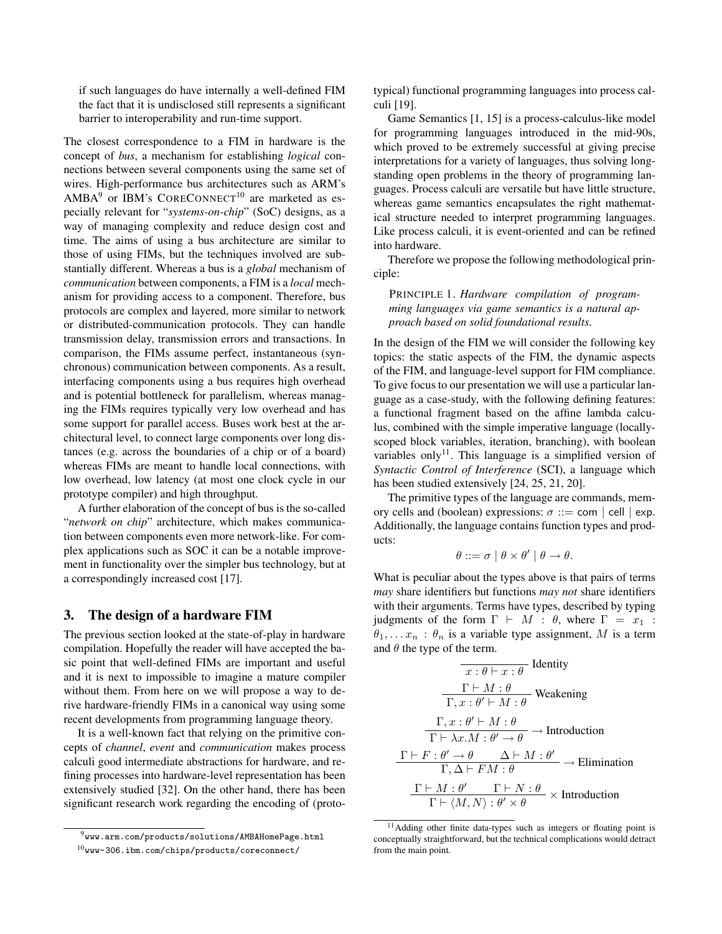if such languages do have internally a well-defined FIM the fact that it is undisclosed still represents a significant barrier to interoperability and run-time support.

The closest correspondence to a FIM in hardware is the concept of *bus*, a mechanism for establishing *logical* connections between several components using the same set of wires. High-performance bus architectures such as ARM's  $AMBA<sup>9</sup>$  or IBM's CORECONNECT<sup>10</sup> are marketed as especially relevant for "*systems-on-chip*" (SoC) designs, as a way of managing complexity and reduce design cost and time. The aims of using a bus architecture are similar to those of using FIMs, but the techniques involved are substantially different. Whereas a bus is a *global* mechanism of *communication* between components, a FIM is a *local* mechanism for providing access to a component. Therefore, bus protocols are complex and layered, more similar to network or distributed-communication protocols. They can handle transmission delay, transmission errors and transactions. In comparison, the FIMs assume perfect, instantaneous (synchronous) communication between components. As a result, interfacing components using a bus requires high overhead and is potential bottleneck for parallelism, whereas managing the FIMs requires typically very low overhead and has some support for parallel access. Buses work best at the architectural level, to connect large components over long distances (e.g. across the boundaries of a chip or of a board) whereas FIMs are meant to handle local connections, with low overhead, low latency (at most one clock cycle in our prototype compiler) and high throughput.

A further elaboration of the concept of bus is the so-called "*network on chip*" architecture, which makes communication between components even more network-like. For complex applications such as SOC it can be a notable improvement in functionality over the simpler bus technology, but at a correspondingly increased cost [17].

## 3. The design of a hardware FIM

The previous section looked at the state-of-play in hardware compilation. Hopefully the reader will have accepted the basic point that well-defined FIMs are important and useful and it is next to impossible to imagine a mature compiler without them. From here on we will propose a way to derive hardware-friendly FIMs in a canonical way using some recent developments from programming language theory.

It is a well-known fact that relying on the primitive concepts of *channel*, *event* and *communication* makes process calculi good intermediate abstractions for hardware, and refining processes into hardware-level representation has been extensively studied [32]. On the other hand, there has been significant research work regarding the encoding of (prototypical) functional programming languages into process calculi [19].

Game Semantics [1, 15] is a process-calculus-like model for programming languages introduced in the mid-90s, which proved to be extremely successful at giving precise interpretations for a variety of languages, thus solving longstanding open problems in the theory of programming languages. Process calculi are versatile but have little structure, whereas game semantics encapsulates the right mathematical structure needed to interpret programming languages. Like process calculi, it is event-oriented and can be refined into hardware.

Therefore we propose the following methodological principle:

PRINCIPLE 1. *Hardware compilation of programming languages via game semantics is a natural approach based on solid foundational results.*

In the design of the FIM we will consider the following key topics: the static aspects of the FIM, the dynamic aspects of the FIM, and language-level support for FIM compliance. To give focus to our presentation we will use a particular language as a case-study, with the following defining features: a functional fragment based on the affine lambda calculus, combined with the simple imperative language (locallyscoped block variables, iteration, branching), with boolean variables only<sup>11</sup>. This language is a simplified version of *Syntactic Control of Interference* (SCI), a language which has been studied extensively [24, 25, 21, 20].

The primitive types of the language are commands, memory cells and (boolean) expressions:  $\sigma ::= \text{com} \mid \text{cell} \mid \text{exp}.$ Additionally, the language contains function types and products:

$$
\theta ::= \sigma \mid \theta \times \theta' \mid \theta \to \theta.
$$

What is peculiar about the types above is that pairs of terms *may* share identifiers but functions *may not* share identifiers with their arguments. Terms have types, described by typing judgments of the form  $\Gamma \vdash M : \theta$ , where  $\Gamma = x_1 :$  $\theta_1, \ldots, x_n : \theta_n$  is a variable type assignment, M is a term and  $\theta$  the type of the term.

$$
\frac{\Gamma \vdash M : \theta}{\Gamma, x : \theta' \vdash M : \theta}
$$
   
   
 Weakening  
 
$$
\frac{\Gamma, x : \theta' \vdash M : \theta}{\Gamma \vdash \lambda x.M : \theta' \to \theta} \to \text{Introduction}
$$

$$
\frac{\Gamma \vdash F : \theta' \to \theta \quad \Delta \vdash M : \theta'}{\Gamma, \Delta \vdash FM : \theta} \to \text{Elimination}
$$

$$
\frac{\Gamma \vdash M : \theta' \quad \Gamma \vdash N : \theta}{\Gamma \vdash \langle M, N \rangle : \theta' \times \theta} \times \text{Introduction}
$$

<sup>9</sup>www.arm.com/products/solutions/AMBAHomePage.html

 $10$ www-306.ibm.com/chips/products/coreconnect/

<sup>&</sup>lt;sup>11</sup>Adding other finite data-types such as integers or floating point is conceptually straightforward, but the technical complications would detract from the main point.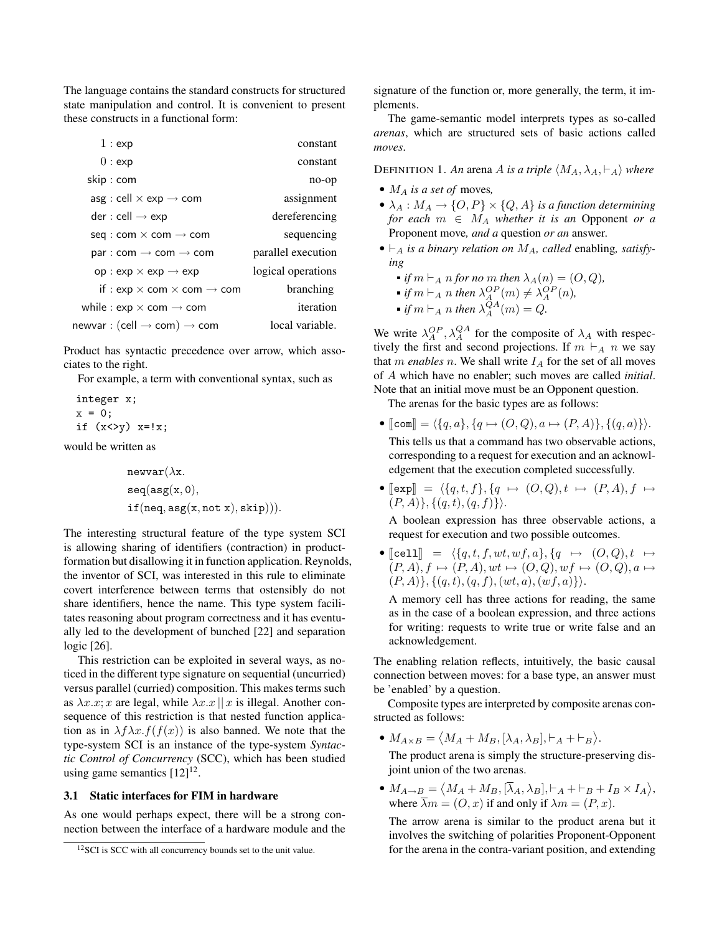The language contains the standard constructs for structured state manipulation and control. It is convenient to present these constructs in a functional form:

| 1:exp                                                                       | constant           |
|-----------------------------------------------------------------------------|--------------------|
| 0:exp                                                                       | constant           |
| skip: com                                                                   | no-op              |
| $\mathsf{asg} : \mathsf{cell} \times \mathsf{exp} \rightarrow \mathsf{com}$ | assignment         |
| der : cell $\rightarrow$ exp                                                | dereferencing      |
| seq : com $\times$ com $\rightarrow$ com                                    | sequencing         |
| par : com $\rightarrow$ com $\rightarrow$ com                               | parallel execution |
| op : $exp \times exp \rightarrow exp$                                       | logical operations |
| if : $\exp \times \text{com} \times \text{com} \rightarrow \text{com}$      | branching          |
| while : $\exp \times \text{com} \rightarrow \text{com}$                     | iteration          |
| newvar : (cell $\rightarrow$ com) $\rightarrow$ com                         | local variable.    |
|                                                                             |                    |

Product has syntactic precedence over arrow, which associates to the right.

For example, a term with conventional syntax, such as

integer x;  $x = 0$ ; if  $(x < y)$   $x = !x$ ;

would be written as

$$
\begin{aligned} & \text{newvar}(\lambda x. \\ & \text{seq}(\text{asg}(x, 0), \\ & \text{if}(\text{neq}, \text{asg}(x, \text{not } x), \text{skip}))). \end{aligned}
$$

The interesting structural feature of the type system SCI is allowing sharing of identifiers (contraction) in productformation but disallowing it in function application. Reynolds, the inventor of SCI, was interested in this rule to eliminate covert interference between terms that ostensibly do not share identifiers, hence the name. This type system facilitates reasoning about program correctness and it has eventually led to the development of bunched [22] and separation logic [26].

This restriction can be exploited in several ways, as noticed in the different type signature on sequential (uncurried) versus parallel (curried) composition. This makes terms such as  $\lambda x.x; x$  are legal, while  $\lambda x.x \parallel x$  is illegal. Another consequence of this restriction is that nested function application as in  $\lambda f \lambda x. f(f(x))$  is also banned. We note that the type-system SCI is an instance of the type-system *Syntactic Control of Concurrency* (SCC), which has been studied using game semantics  $[12]^{12}$ .

#### 3.1 Static interfaces for FIM in hardware

As one would perhaps expect, there will be a strong connection between the interface of a hardware module and the signature of the function or, more generally, the term, it implements.

The game-semantic model interprets types as so-called *arenas*, which are structured sets of basic actions called *moves*.

DEFINITION 1. An arena A is a triple  $\langle M_A, \lambda_A, \vdash_A \rangle$  where

- $M_A$  *is a set of* moves,
- $\lambda_A : M_A \to \{O, P\} \times \{Q, A\}$  *is a function determining for each*  $m \in M_A$  *whether it is an Opponent or a* Proponent move*, and a* question *or an* answer*.*
- $\bullet \vdash_A$  *is a binary relation on*  $M_A$ *, called* enabling*, satisfying*
	- *if*  $m \vdash_A n$  *for no*  $m$  *then*  $\lambda_A(n) = (O, Q)$ *,*
	- *if*  $m \vdash_A n$  *then*  $\lambda_A^{OP}(m) \neq \lambda_A^{OP}(n)$ *,*
	- *if*  $m \vdash_A n$  *then*  $\lambda_A^{QA}(m) = Q$ .

We write  $\lambda_A^{OP}$ ,  $\lambda_A^{QA}$  for the composite of  $\lambda_A$  with respectively the first and second projections. If  $m \vdash_A n$  we say that  $m$  enables  $n$ . We shall write  $I<sub>A</sub>$  for the set of all moves of A which have no enabler; such moves are called *initial*. Note that an initial move must be an Opponent question.

The arenas for the basic types are as follows:

- $\lbrack \; \text{com} \; \rbrack = \langle \{q, a\}, \{q \mapsto (O, Q), a \mapsto (P, A)\}, \{(q, a)\}\rangle.$ This tells us that a command has two observable actions, corresponding to a request for execution and an acknowledgement that the execution completed successfully.
- [exp] =  $\langle \{q, t, f\}, \{q \mapsto (O, Q), t \mapsto (P, A), f \mapsto$  $(P, A)$ ,  $\{(q, t), (q, f)\}\rangle$ .

A boolean expression has three observable actions, a request for execution and two possible outcomes.

•  $\llbracket \text{cell} \rrbracket = \langle \{q, t, f, wt, wf, a\}, \{q \mapsto (O, Q), t \mapsto$  $(P, A), f \mapsto (P, A), wt \mapsto (O, Q), wf \mapsto (O, Q), a \mapsto$  $(P, A)$ , { $(q, t), (q, f), (wt, a), (wf, a)$ }.

A memory cell has three actions for reading, the same as in the case of a boolean expression, and three actions for writing: requests to write true or write false and an acknowledgement.

The enabling relation reflects, intuitively, the basic causal connection between moves: for a base type, an answer must be 'enabled' by a question.

Composite types are interpreted by composite arenas constructed as follows:

•  $M_{A\times B} = \langle M_A + M_B, [\lambda_A, \lambda_B], \vdash_A + \vdash_B \rangle.$ 

The product arena is simply the structure-preserving disjoint union of the two arenas.

•  $M_{A\rightarrow B} = \langle M_A + M_B, [\overline{\lambda}_A, \lambda_B], \vdash_A + \vdash_B + I_B \times I_A \rangle,$ where  $\lambda m = (O, x)$  if and only if  $\lambda m = (P, x)$ .

The arrow arena is similar to the product arena but it involves the switching of polarities Proponent-Opponent for the arena in the contra-variant position, and extending

<sup>&</sup>lt;sup>12</sup>SCI is SCC with all concurrency bounds set to the unit value.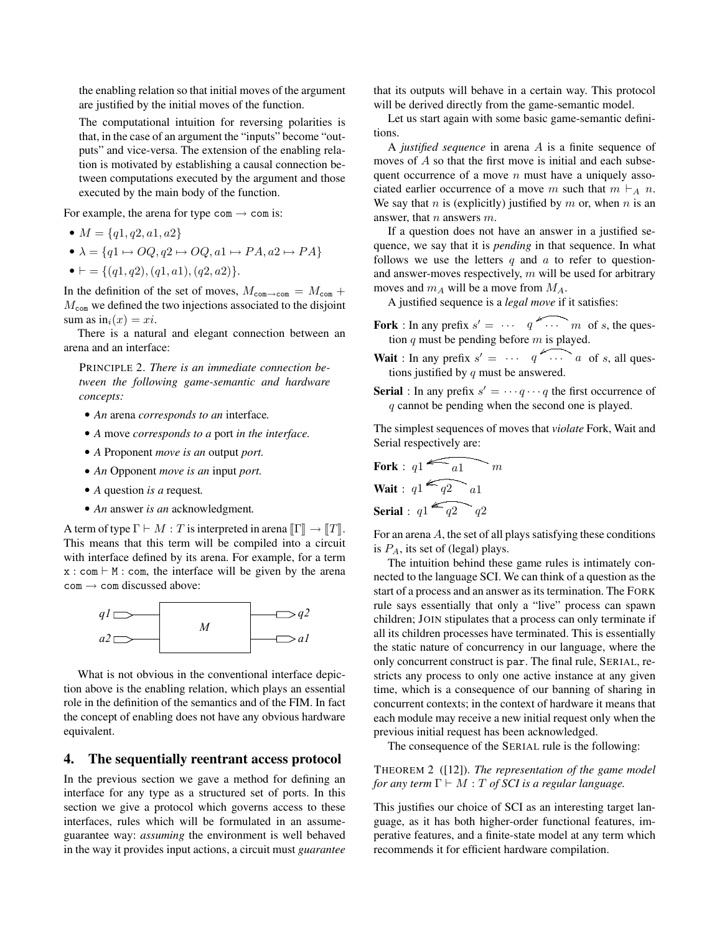the enabling relation so that initial moves of the argument are justified by the initial moves of the function.

The computational intuition for reversing polarities is that, in the case of an argument the "inputs" become "outputs" and vice-versa. The extension of the enabling relation is motivated by establishing a causal connection between computations executed by the argument and those executed by the main body of the function.

For example, the arena for type  $com \rightarrow com$  is:

- $M = \{q1, q2, a1, a2\}$
- $\lambda = \{q1 \mapsto OQ, q2 \mapsto OQ, a1 \mapsto PA, a2 \mapsto PA\}$
- $\bullet \vdash = \{(q1, q2), (q1, a1), (q2, a2)\}.$

In the definition of the set of moves,  $M_{\text{com}\rightarrow\text{com}} = M_{\text{com}} +$  $M_{\text{com}}$  we defined the two injections associated to the disjoint sum as  $in_i(x) = xi$ .

There is a natural and elegant connection between an arena and an interface:

PRINCIPLE 2. *There is an immediate connection between the following game-semantic and hardware concepts:*

- *An* arena *corresponds to an* interface*.*
- *A* move *corresponds to a* port *in the interface.*
- *A* Proponent *move is an* output *port.*
- *An* Opponent *move is an* input *port.*
- *A* question *is a* request*.*
- *An* answer *is an* acknowledgment.

A term of type  $\Gamma \vdash M : T$  is interpreted in arena  $\llbracket \Gamma \rrbracket \rightarrow \llbracket T \rrbracket$ . This means that this term will be compiled into a circuit with interface defined by its arena. For example, for a term  $x : \text{com} \vdash M : \text{com},$  the interface will be given by the arena  $com \rightarrow com$  discussed above:



What is not obvious in the conventional interface depiction above is the enabling relation, which plays an essential role in the definition of the semantics and of the FIM. In fact the concept of enabling does not have any obvious hardware equivalent.

## 4. The sequentially reentrant access protocol

In the previous section we gave a method for defining an interface for any type as a structured set of ports. In this section we give a protocol which governs access to these interfaces, rules which will be formulated in an assumeguarantee way: *assuming* the environment is well behaved in the way it provides input actions, a circuit must *guarantee*

that its outputs will behave in a certain way. This protocol will be derived directly from the game-semantic model.

Let us start again with some basic game-semantic definitions.

A *justified sequence* in arena A is a finite sequence of moves of A so that the first move is initial and each subsequent occurrence of a move  $n$  must have a uniquely associated earlier occurrence of a move m such that  $m \vdash_A n$ . We say that n is (explicitly) justified by m or, when n is an answer, that  $n$  answers  $m$ .

If a question does not have an answer in a justified sequence, we say that it is *pending* in that sequence. In what follows we use the letters  $q$  and  $a$  to refer to questionand answer-moves respectively,  $m$  will be used for arbitrary moves and  $m_A$  will be a move from  $M_A$ .

A justified sequence is a *legal move* if it satisfies:

Fork : In any prefix  $s' = \cdots$   $\widehat{q \cdots m}$  of s, the question  $q$  must be pending before  $m$  is played.

**Wait** : In any prefix  $s' = \cdots$   $\overbrace{q \cdots q}$  of s, all questions justified by  $q$  must be answered.

**Serial** : In any prefix  $s' = \cdots q \cdots q$  the first occurrence of q cannot be pending when the second one is played.

The simplest sequences of moves that *violate* Fork, Wait and Serial respectively are:

**Fork**: 
$$
q1
$$
  
\n**Wait**:  $q1$   
\n**Serial**:  $q1$   
\n**Serial**:  $q1$   
\n**General**  $q2$   
\n**Partial**  $q2$ 

For an arena A, the set of all plays satisfying these conditions is  $P_A$ , its set of (legal) plays.

The intuition behind these game rules is intimately connected to the language SCI. We can think of a question as the start of a process and an answer as its termination. The FORK rule says essentially that only a "live" process can spawn children; JOIN stipulates that a process can only terminate if all its children processes have terminated. This is essentially the static nature of concurrency in our language, where the only concurrent construct is par. The final rule, SERIAL, restricts any process to only one active instance at any given time, which is a consequence of our banning of sharing in concurrent contexts; in the context of hardware it means that each module may receive a new initial request only when the previous initial request has been acknowledged.

The consequence of the SERIAL rule is the following:

THEOREM 2 ([12]). *The representation of the game model for any term*  $\Gamma \vdash M : T$  *of SCI is a regular language.* 

This justifies our choice of SCI as an interesting target language, as it has both higher-order functional features, imperative features, and a finite-state model at any term which recommends it for efficient hardware compilation.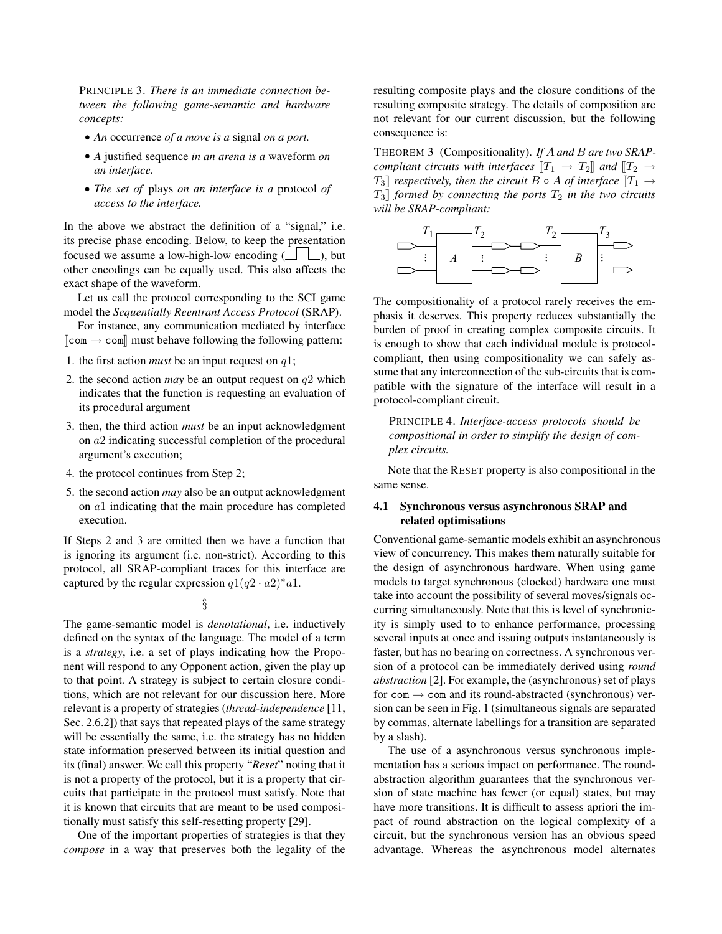PRINCIPLE 3. *There is an immediate connection between the following game-semantic and hardware concepts:*

- *An* occurrence *of a move is a* signal *on a port.*
- *A* justified sequence *in an arena is a* waveform *on an interface.*
- *The set of* plays *on an interface is a* protocol *of access to the interface.*

In the above we abstract the definition of a "signal," i.e. its precise phase encoding. Below, to keep the presentation focused we assume a low-high-low encoding  $(\Box | \Box)$ , but other encodings can be equally used. This also affects the exact shape of the waveform.

Let us call the protocol corresponding to the SCI game model the *Sequentially Reentrant Access Protocol* (SRAP).

For instance, any communication mediated by interface  $\lceil \text{com} \rightarrow \text{com} \rceil$  must behave following the following pattern:

- 1. the first action *must* be an input request on q1;
- 2. the second action *may* be an output request on q2 which indicates that the function is requesting an evaluation of its procedural argument
- 3. then, the third action *must* be an input acknowledgment on a2 indicating successful completion of the procedural argument's execution;
- 4. the protocol continues from Step 2;
- 5. the second action *may* also be an output acknowledgment on a1 indicating that the main procedure has completed execution.

If Steps 2 and 3 are omitted then we have a function that is ignoring its argument (i.e. non-strict). According to this protocol, all SRAP-compliant traces for this interface are captured by the regular expression  $q1(q2 \cdot a2)^*a1$ .

#### §

The game-semantic model is *denotational*, i.e. inductively defined on the syntax of the language. The model of a term is a *strategy*, i.e. a set of plays indicating how the Proponent will respond to any Opponent action, given the play up to that point. A strategy is subject to certain closure conditions, which are not relevant for our discussion here. More relevant is a property of strategies (*thread-independence* [11, Sec. 2.6.2]) that says that repeated plays of the same strategy will be essentially the same, i.e. the strategy has no hidden state information preserved between its initial question and its (final) answer. We call this property "*Reset*" noting that it is not a property of the protocol, but it is a property that circuits that participate in the protocol must satisfy. Note that it is known that circuits that are meant to be used compositionally must satisfy this self-resetting property [29].

One of the important properties of strategies is that they *compose* in a way that preserves both the legality of the

resulting composite plays and the closure conditions of the resulting composite strategy. The details of composition are not relevant for our current discussion, but the following consequence is:

THEOREM 3 (Compositionality). *If* A *and* B *are two SRAPcompliant circuits with interfaces*  $[T_1 \rightarrow T_2]$  *and*  $[T_2 \rightarrow$  $T_3$  *respectively, then the circuit*  $B \circ A$  *of interface*  $T_1 \rightarrow$  $T_3$  *formed by connecting the ports*  $T_2$  *in the two circuits will be SRAP-compliant:*



The compositionality of a protocol rarely receives the emphasis it deserves. This property reduces substantially the burden of proof in creating complex composite circuits. It is enough to show that each individual module is protocolcompliant, then using compositionality we can safely assume that any interconnection of the sub-circuits that is compatible with the signature of the interface will result in a protocol-compliant circuit.

PRINCIPLE 4. *Interface-access protocols should be compositional in order to simplify the design of complex circuits.*

Note that the RESET property is also compositional in the same sense.

## 4.1 Synchronous versus asynchronous SRAP and related optimisations

Conventional game-semantic models exhibit an asynchronous view of concurrency. This makes them naturally suitable for the design of asynchronous hardware. When using game models to target synchronous (clocked) hardware one must take into account the possibility of several moves/signals occurring simultaneously. Note that this is level of synchronicity is simply used to to enhance performance, processing several inputs at once and issuing outputs instantaneously is faster, but has no bearing on correctness. A synchronous version of a protocol can be immediately derived using *round abstraction* [2]. For example, the (asynchronous) set of plays for  $com \rightarrow com$  and its round-abstracted (synchronous) version can be seen in Fig. 1 (simultaneous signals are separated by commas, alternate labellings for a transition are separated by a slash).

The use of a asynchronous versus synchronous implementation has a serious impact on performance. The roundabstraction algorithm guarantees that the synchronous version of state machine has fewer (or equal) states, but may have more transitions. It is difficult to assess apriori the impact of round abstraction on the logical complexity of a circuit, but the synchronous version has an obvious speed advantage. Whereas the asynchronous model alternates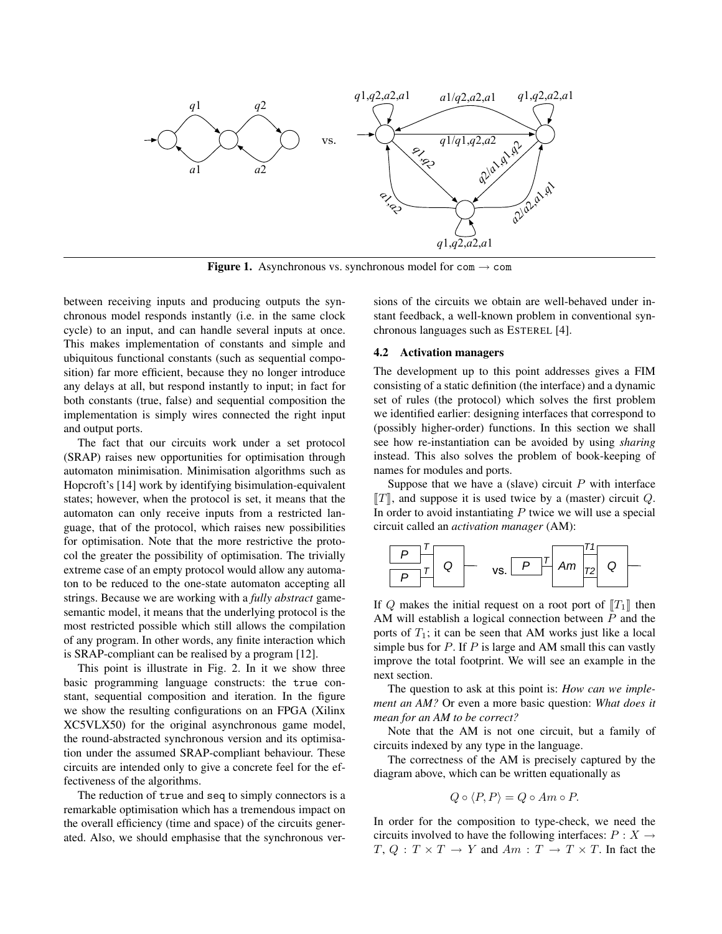

**Figure 1.** Asynchronous vs. synchronous model for  $com \rightarrow com$ 

between receiving inputs and producing outputs the synchronous model responds instantly (i.e. in the same clock cycle) to an input, and can handle several inputs at once. This makes implementation of constants and simple and ubiquitous functional constants (such as sequential composition) far more efficient, because they no longer introduce any delays at all, but respond instantly to input; in fact for both constants (true, false) and sequential composition the implementation is simply wires connected the right input and output ports.

The fact that our circuits work under a set protocol (SRAP) raises new opportunities for optimisation through automaton minimisation. Minimisation algorithms such as Hopcroft's [14] work by identifying bisimulation-equivalent states; however, when the protocol is set, it means that the automaton can only receive inputs from a restricted language, that of the protocol, which raises new possibilities for optimisation. Note that the more restrictive the protocol the greater the possibility of optimisation. The trivially extreme case of an empty protocol would allow any automaton to be reduced to the one-state automaton accepting all strings. Because we are working with a *fully abstract* gamesemantic model, it means that the underlying protocol is the most restricted possible which still allows the compilation of any program. In other words, any finite interaction which is SRAP-compliant can be realised by a program [12].

This point is illustrate in Fig. 2. In it we show three basic programming language constructs: the true constant, sequential composition and iteration. In the figure we show the resulting configurations on an FPGA (Xilinx XC5VLX50) for the original asynchronous game model, the round-abstracted synchronous version and its optimisation under the assumed SRAP-compliant behaviour. These circuits are intended only to give a concrete feel for the effectiveness of the algorithms.

The reduction of true and seq to simply connectors is a remarkable optimisation which has a tremendous impact on the overall efficiency (time and space) of the circuits generated. Also, we should emphasise that the synchronous versions of the circuits we obtain are well-behaved under instant feedback, a well-known problem in conventional synchronous languages such as ESTEREL [4].

### 4.2 Activation managers

The development up to this point addresses gives a FIM consisting of a static definition (the interface) and a dynamic set of rules (the protocol) which solves the first problem we identified earlier: designing interfaces that correspond to (possibly higher-order) functions. In this section we shall see how re-instantiation can be avoided by using *sharing* instead. This also solves the problem of book-keeping of names for modules and ports.

Suppose that we have a (slave) circuit  $P$  with interface  $T$ , and suppose it is used twice by a (master) circuit Q. In order to avoid instantiating  $P$  twice we will use a special circuit called an *activation manager* (AM):



If Q makes the initial request on a root port of  $T_1$  then AM will establish a logical connection between P and the ports of  $T_1$ ; it can be seen that AM works just like a local simple bus for  $P$ . If  $P$  is large and AM small this can vastly improve the total footprint. We will see an example in the next section.

The question to ask at this point is: *How can we implement an AM?* Or even a more basic question: *What does it mean for an AM to be correct?*

Note that the AM is not one circuit, but a family of circuits indexed by any type in the language.

The correctness of the AM is precisely captured by the diagram above, which can be written equationally as

$$
Q \circ \langle P, P \rangle = Q \circ Am \circ P.
$$

In order for the composition to type-check, we need the circuits involved to have the following interfaces:  $P : X \rightarrow$  $T, Q: T \times T \rightarrow Y$  and  $Am: T \rightarrow T \times T$ . In fact the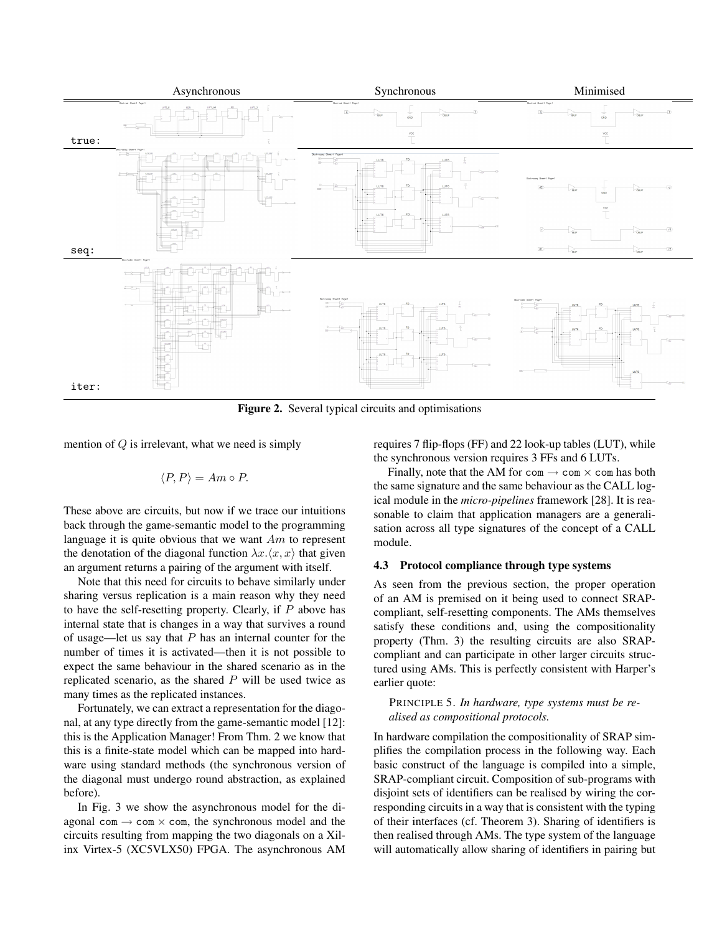

Figure 2. Several typical circuits and optimisations

mention of  $Q$  is irrelevant, what we need is simply

$$
\langle P, P \rangle = Am \circ P.
$$

These above are circuits, but now if we trace our intuitions back through the game-semantic model to the programming language it is quite obvious that we want  $Am$  to represent the denotation of the diagonal function  $\lambda x.\langle x, x \rangle$  that given an argument returns a pairing of the argument with itself.

Note that this need for circuits to behave similarly under sharing versus replication is a main reason why they need to have the self-resetting property. Clearly, if  $P$  above has internal state that is changes in a way that survives a round of usage—let us say that  $P$  has an internal counter for the number of times it is activated—then it is not possible to expect the same behaviour in the shared scenario as in the replicated scenario, as the shared  $P$  will be used twice as many times as the replicated instances.

Fortunately, we can extract a representation for the diagonal, at any type directly from the game-semantic model [12]: this is the Application Manager! From Thm. 2 we know that this is a finite-state model which can be mapped into hardware using standard methods (the synchronous version of the diagonal must undergo round abstraction, as explained before).

In Fig. 3 we show the asynchronous model for the diagonal com  $\rightarrow$  com  $\times$  com, the synchronous model and the circuits resulting from mapping the two diagonals on a Xilinx Virtex-5 (XC5VLX50) FPGA. The asynchronous AM

requires 7 flip-flops (FF) and 22 look-up tables (LUT), while the synchronous version requires 3 FFs and 6 LUTs.

Finally, note that the AM for com  $\rightarrow$  com  $\times$  com has both the same signature and the same behaviour as the CALL logical module in the *micro-pipelines* framework [28]. It is reasonable to claim that application managers are a generalisation across all type signatures of the concept of a CALL module.

#### 4.3 Protocol compliance through type systems

As seen from the previous section, the proper operation of an AM is premised on it being used to connect SRAPcompliant, self-resetting components. The AMs themselves satisfy these conditions and, using the compositionality property (Thm. 3) the resulting circuits are also SRAPcompliant and can participate in other larger circuits structured using AMs. This is perfectly consistent with Harper's earlier quote:

PRINCIPLE 5. *In hardware, type systems must be realised as compositional protocols.*

In hardware compilation the compositionality of SRAP simplifies the compilation process in the following way. Each basic construct of the language is compiled into a simple, SRAP-compliant circuit. Composition of sub-programs with disjoint sets of identifiers can be realised by wiring the corresponding circuits in a way that is consistent with the typing of their interfaces (cf. Theorem 3). Sharing of identifiers is then realised through AMs. The type system of the language will automatically allow sharing of identifiers in pairing but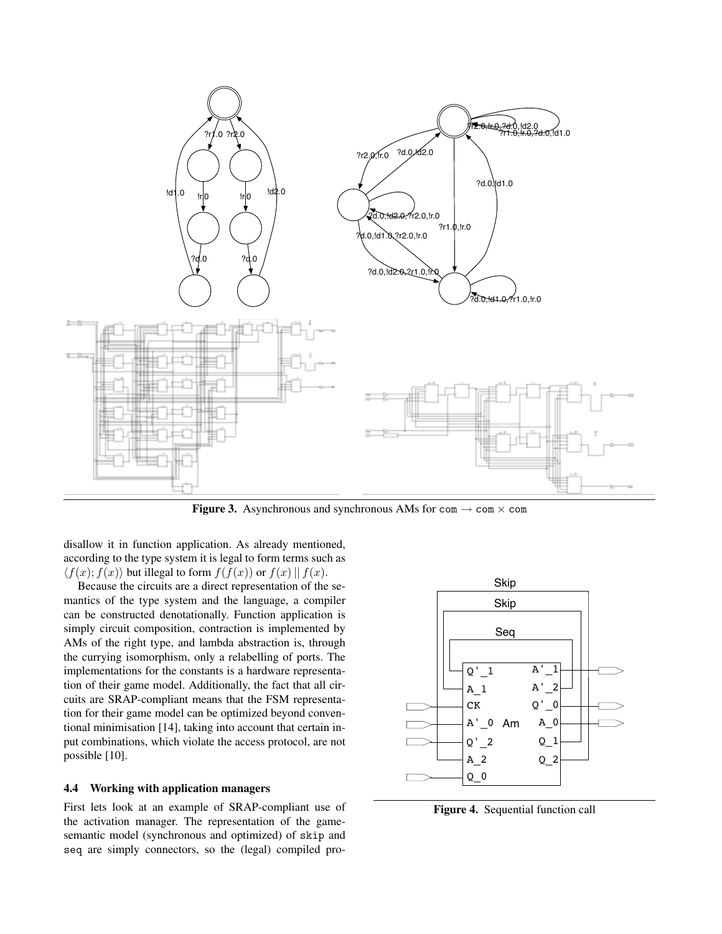

**Figure 3.** Asynchronous and synchronous AMs for com  $\rightarrow$  com  $\times$  com

disallow it in function application. As already mentioned, according to the type system it is legal to form terms such as  $\langle f(x); f(x)\rangle$  but illegal to form  $f(f(x))$  or  $f(x)|| f(x)$ .

Because the circuits are a direct representation of the semantics of the type system and the language, a compiler can be constructed denotationally. Function application is simply circuit composition, contraction is implemented by AMs of the right type, and lambda abstraction is, through the currying isomorphism, only a relabelling of ports. The implementations for the constants is a hardware representation of their game model. Additionally, the fact that all circuits are SRAP-compliant means that the FSM representation for their game model can be optimized beyond conventional minimisation [14], taking into account that certain input combinations, which violate the access protocol, are not possible [10].

#### 4.4 Working with application managers

First lets look at an example of SRAP-compliant use of the activation manager. The representation of the gamesemantic model (synchronous and optimized) of skip and tional minimisation [14], taking into account that certain in-<br>put combinations, which violate the access protocol, are not<br>possible [10].<br>**4.4 Working with application managers**<br>First lets look at an example of SRAP-comp



Figure 4. Sequential function call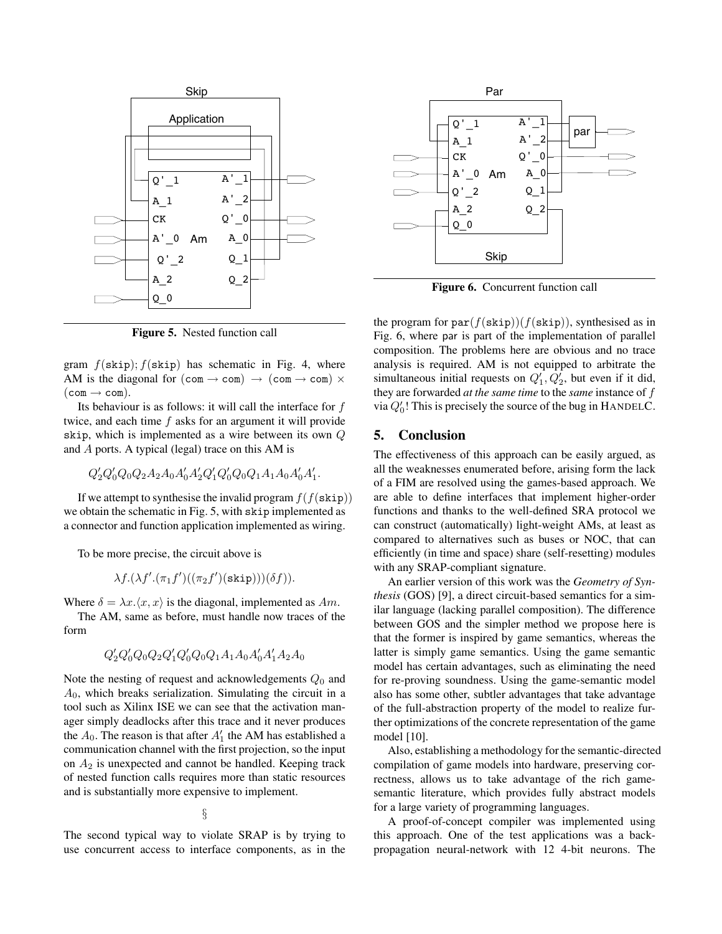

Figure 5. Nested function call

gram  $f(\text{skip})$ ;  $f(\text{skip})$  has schematic in Fig. 4, where AM is the diagonal for (com  $\rightarrow$  com)  $\rightarrow$  (com  $\rightarrow$  com)  $\times$  $(\text{com} \rightarrow \text{com})$ .

Its behaviour is as follows: it will call the interface for  $f$ twice, and each time  $f$  asks for an argument it will provide skip, which is implemented as a wire between its own Q and A ports. A typical (legal) trace on this AM is

$$
Q_2'Q_0'Q_0Q_2A_2A_0A_0'A_2'Q_1'Q_0'Q_0Q_1A_1A_0A_0'A_1'.
$$

If we attempt to synthesise the invalid program  $f(f(\text{skip}))$ we obtain the schematic in Fig. 5, with skip implemented as a connector and function application implemented as wiring.

To be more precise, the circuit above is

$$
\lambda f.(\lambda f'.(\pi_1 f')((\pi_2 f')(\text{skip})))(\delta f)).
$$

Where  $\delta = \lambda x.\langle x, x \rangle$  is the diagonal, implemented as Am. The AM, same as before, must handle now traces of the

form

$$
Q_2^{\prime} Q_0^{\prime} Q_0 Q_2 Q_1^{\prime} Q_0^{\prime} Q_0 Q_1 A_1 A_0 A_0^{\prime} A_1^{\prime} A_2 A_0
$$

Note the nesting of request and acknowledgements  $Q_0$  and  $A<sub>0</sub>$ , which breaks serialization. Simulating the circuit in a tool such as Xilinx ISE we can see that the activation manager simply deadlocks after this trace and it never produces the  $A_0$ . The reason is that after  $A'_1$  the AM has established a communication channel with the first projection, so the input on  $A_2$  is unexpected and cannot be handled. Keeping track of nested function calls requires more than static resources and is substantially more expensive to implement.

§

The second typical way to violate SRAP is by trying to use concurrent access to interface components, as in the



Figure 6. Concurrent function call

the program for  $par(f(\text{skip}))(f(\text{skip}))$ , synthesised as in Fig. 6, where par is part of the implementation of parallel composition. The problems here are obvious and no trace analysis is required. AM is not equipped to arbitrate the simultaneous initial requests on  $Q'_1, Q'_2$ , but even if it did, they are forwarded *at the same time* to the *same* instance of f via  $Q'_0$ ! This is precisely the source of the bug in HANDELC.

## 5. Conclusion

The effectiveness of this approach can be easily argued, as all the weaknesses enumerated before, arising form the lack of a FIM are resolved using the games-based approach. We are able to define interfaces that implement higher-order functions and thanks to the well-defined SRA protocol we can construct (automatically) light-weight AMs, at least as compared to alternatives such as buses or NOC, that can efficiently (in time and space) share (self-resetting) modules with any SRAP-compliant signature.

An earlier version of this work was the *Geometry of Synthesis* (GOS) [9], a direct circuit-based semantics for a similar language (lacking parallel composition). The difference between GOS and the simpler method we propose here is that the former is inspired by game semantics, whereas the latter is simply game semantics. Using the game semantic model has certain advantages, such as eliminating the need for re-proving soundness. Using the game-semantic model also has some other, subtler advantages that take advantage of the full-abstraction property of the model to realize further optimizations of the concrete representation of the game model [10].

Also, establishing a methodology for the semantic-directed compilation of game models into hardware, preserving correctness, allows us to take advantage of the rich gamesemantic literature, which provides fully abstract models for a large variety of programming languages.

A proof-of-concept compiler was implemented using this approach. One of the test applications was a backpropagation neural-network with 12 4-bit neurons. The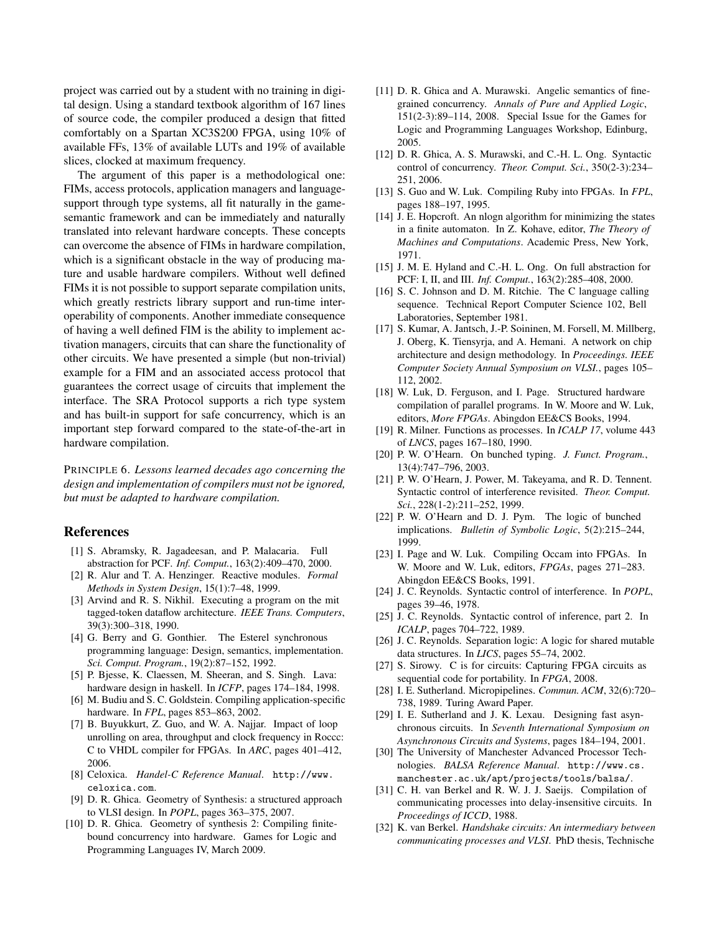project was carried out by a student with no training in digital design. Using a standard textbook algorithm of 167 lines of source code, the compiler produced a design that fitted comfortably on a Spartan XC3S200 FPGA, using 10% of available FFs, 13% of available LUTs and 19% of available slices, clocked at maximum frequency.

The argument of this paper is a methodological one: FIMs, access protocols, application managers and languagesupport through type systems, all fit naturally in the gamesemantic framework and can be immediately and naturally translated into relevant hardware concepts. These concepts can overcome the absence of FIMs in hardware compilation, which is a significant obstacle in the way of producing mature and usable hardware compilers. Without well defined FIMs it is not possible to support separate compilation units, which greatly restricts library support and run-time interoperability of components. Another immediate consequence of having a well defined FIM is the ability to implement activation managers, circuits that can share the functionality of other circuits. We have presented a simple (but non-trivial) example for a FIM and an associated access protocol that guarantees the correct usage of circuits that implement the interface. The SRA Protocol supports a rich type system and has built-in support for safe concurrency, which is an important step forward compared to the state-of-the-art in hardware compilation.

PRINCIPLE 6. *Lessons learned decades ago concerning the design and implementation of compilers must not be ignored, but must be adapted to hardware compilation.*

## References

- [1] S. Abramsky, R. Jagadeesan, and P. Malacaria. Full abstraction for PCF. *Inf. Comput.*, 163(2):409–470, 2000.
- [2] R. Alur and T. A. Henzinger. Reactive modules. *Formal Methods in System Design*, 15(1):7–48, 1999.
- [3] Arvind and R. S. Nikhil. Executing a program on the mit tagged-token dataflow architecture. *IEEE Trans. Computers*, 39(3):300–318, 1990.
- [4] G. Berry and G. Gonthier. The Esterel synchronous programming language: Design, semantics, implementation. *Sci. Comput. Program.*, 19(2):87–152, 1992.
- [5] P. Bjesse, K. Claessen, M. Sheeran, and S. Singh. Lava: hardware design in haskell. In *ICFP*, pages 174–184, 1998.
- [6] M. Budiu and S. C. Goldstein. Compiling application-specific hardware. In *FPL*, pages 853–863, 2002.
- [7] B. Buyukkurt, Z. Guo, and W. A. Najjar. Impact of loop unrolling on area, throughput and clock frequency in Roccc: C to VHDL compiler for FPGAs. In *ARC*, pages 401–412, 2006.
- [8] Celoxica. *Handel-C Reference Manual*. http://www. celoxica.com.
- [9] D. R. Ghica. Geometry of Synthesis: a structured approach to VLSI design. In *POPL*, pages 363–375, 2007.
- [10] D. R. Ghica. Geometry of synthesis 2: Compiling finitebound concurrency into hardware. Games for Logic and Programming Languages IV, March 2009.
- [11] D. R. Ghica and A. Murawski. Angelic semantics of finegrained concurrency. *Annals of Pure and Applied Logic*, 151(2-3):89–114, 2008. Special Issue for the Games for Logic and Programming Languages Workshop, Edinburg, 2005.
- [12] D. R. Ghica, A. S. Murawski, and C.-H. L. Ong. Syntactic control of concurrency. *Theor. Comput. Sci.*, 350(2-3):234– 251, 2006.
- [13] S. Guo and W. Luk. Compiling Ruby into FPGAs. In *FPL*, pages 188–197, 1995.
- [14] J. E. Hopcroft. An nlogn algorithm for minimizing the states in a finite automaton. In Z. Kohave, editor, *The Theory of Machines and Computations*. Academic Press, New York, 1971.
- [15] J. M. E. Hyland and C.-H. L. Ong. On full abstraction for PCF: I, II, and III. *Inf. Comput.*, 163(2):285–408, 2000.
- [16] S. C. Johnson and D. M. Ritchie. The C language calling sequence. Technical Report Computer Science 102, Bell Laboratories, September 1981.
- [17] S. Kumar, A. Jantsch, J.-P. Soininen, M. Forsell, M. Millberg, J. Oberg, K. Tiensyrja, and A. Hemani. A network on chip architecture and design methodology. In *Proceedings. IEEE Computer Society Annual Symposium on VLSI.*, pages 105– 112, 2002.
- [18] W. Luk, D. Ferguson, and I. Page. Structured hardware compilation of parallel programs. In W. Moore and W. Luk, editors, *More FPGAs*. Abingdon EE&CS Books, 1994.
- [19] R. Milner. Functions as processes. In *ICALP 17*, volume 443 of *LNCS*, pages 167–180, 1990.
- [20] P. W. O'Hearn. On bunched typing. *J. Funct. Program.*, 13(4):747–796, 2003.
- [21] P. W. O'Hearn, J. Power, M. Takeyama, and R. D. Tennent. Syntactic control of interference revisited. *Theor. Comput. Sci.*, 228(1-2):211–252, 1999.
- [22] P. W. O'Hearn and D. J. Pym. The logic of bunched implications. *Bulletin of Symbolic Logic*, 5(2):215–244, 1999.
- [23] I. Page and W. Luk. Compiling Occam into FPGAs. In W. Moore and W. Luk, editors, *FPGAs*, pages 271–283. Abingdon EE&CS Books, 1991.
- [24] J. C. Reynolds. Syntactic control of interference. In *POPL*, pages 39–46, 1978.
- [25] J. C. Reynolds. Syntactic control of inference, part 2. In *ICALP*, pages 704–722, 1989.
- [26] J. C. Reynolds. Separation logic: A logic for shared mutable data structures. In *LICS*, pages 55–74, 2002.
- [27] S. Sirowy. C is for circuits: Capturing FPGA circuits as sequential code for portability. In *FPGA*, 2008.
- [28] I. E. Sutherland. Micropipelines. *Commun. ACM*, 32(6):720– 738, 1989. Turing Award Paper.
- [29] I. E. Sutherland and J. K. Lexau. Designing fast asynchronous circuits. In *Seventh International Symposium on Asynchronous Circuits and Systems*, pages 184–194, 2001.
- [30] The University of Manchester Advanced Processor Technologies. *BALSA Reference Manual*. http://www.cs. manchester.ac.uk/apt/projects/tools/balsa/.
- [31] C. H. van Berkel and R. W. J. J. Saeijs. Compilation of communicating processes into delay-insensitive circuits. In *Proceedings of ICCD*, 1988.
- [32] K. van Berkel. *Handshake circuits: An intermediary between communicating processes and VLSI*. PhD thesis, Technische